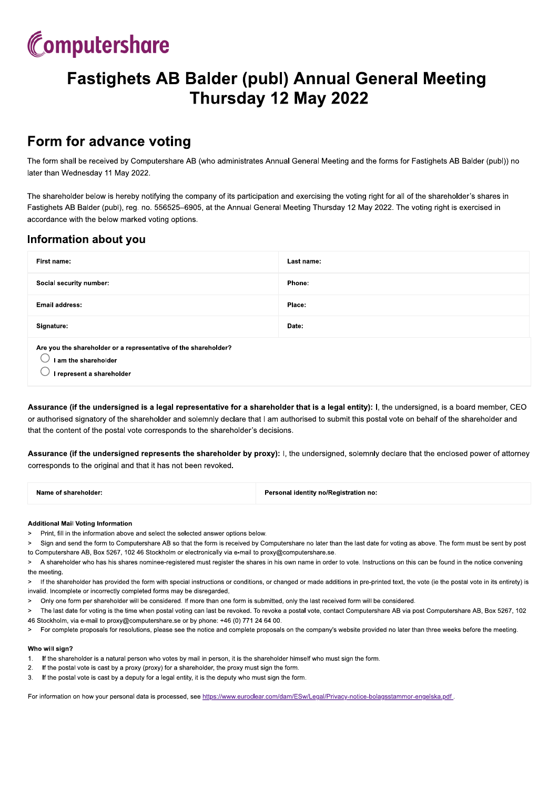

## **Fastighets AB Balder (publ) Annual General Meeting** Thursday 12 May 2022

## Form for advance voting

The form shall be received by Computershare AB (who administrates Annual General Meeting and the forms for Fastighets AB Balder (publ)) no later than Wednesday 11 May 2022.

The shareholder below is hereby notifying the company of its participation and exercising the voting right for all of the shareholder's shares in Fastighets AB Balder (publ), reg. no. 556525-6905, at the Annual General Meeting Thursday 12 May 2022. The voting right is exercised in accordance with the below marked voting options.

### Information about you

| First name:                                                                                                          | Last name: |
|----------------------------------------------------------------------------------------------------------------------|------------|
| Social security number:                                                                                              | Phone:     |
| <b>Email address:</b>                                                                                                | Place:     |
| Signature:                                                                                                           | Date:      |
| Are you the shareholder or a representative of the shareholder?<br>I am the shareholder<br>I represent a shareholder |            |

Assurance (if the undersigned is a legal representative for a shareholder that is a legal entity): I, the undersigned, is a board member, CEO or authorised signatory of the shareholder and solemnly declare that I am authorised to submit this postal vote on behalf of the shareholder and that the content of the postal vote corresponds to the shareholder's decisions.

Assurance (if the undersigned represents the shareholder by proxy): I, the undersigned, solemnly declare that the enclosed power of attorney corresponds to the original and that it has not been revoked.

| Name of shareholder: | Personal identity no/Registration no: |
|----------------------|---------------------------------------|
|                      |                                       |

#### **Additional Mail Voting Information**

- Print, fill in the information above and select the selected answer options below.  $\geq$
- $\sim$ Sign and send the form to Computershare AB so that the form is received by Computershare no later than the last date for voting as above. The form must be sent by post to Computershare AB, Box 5267, 102 46 Stockholm or electronically via e-mail to proxy@computershare.se.
- A shareholder who has his shares nominee-registered must register the shares in his own name in order to vote. Instructions on this can be found in the notice convening  $\mathbf{S}$ the meeting
- > If the shareholder has provided the form with special instructions or conditions, or changed or made additions in pre-printed text, the vote (ie the postal vote in its entirety) is invalid. Incomplete or incorrectly completed forms may be disregarded.
- Only one form per shareholder will be considered. If more than one form is submitted, only the last received form will be considered.  $\geq$
- The last date for voting is the time when postal voting can last be revoked. To revoke a postal vote, contact Computershare AB via post Computershare AB, Box 5267, 102 46 Stockholm, via e-mail to proxy@computershare.se or by phone: +46 (0) 771 24 64 00
- For complete proposals for resolutions, please see the notice and complete proposals on the company's website provided no later than three weeks before the meeting.  $\overline{\phantom{0}}$

#### Who will sign?

- $1<sup>1</sup>$ If the shareholder is a natural person who votes by mail in person, it is the shareholder himself who must sign the form.
- $\overline{2}$ If the postal vote is cast by a proxy (proxy) for a shareholder, the proxy must sign the form.
- If the postal vote is cast by a deputy for a legal entity, it is the deputy who must sign the form. 3.

For information on how your personal data is processed, see https://www.euroclear.com/dam/ESw/Legal/Privacy-notice-bolagsstammor-engelska.pdf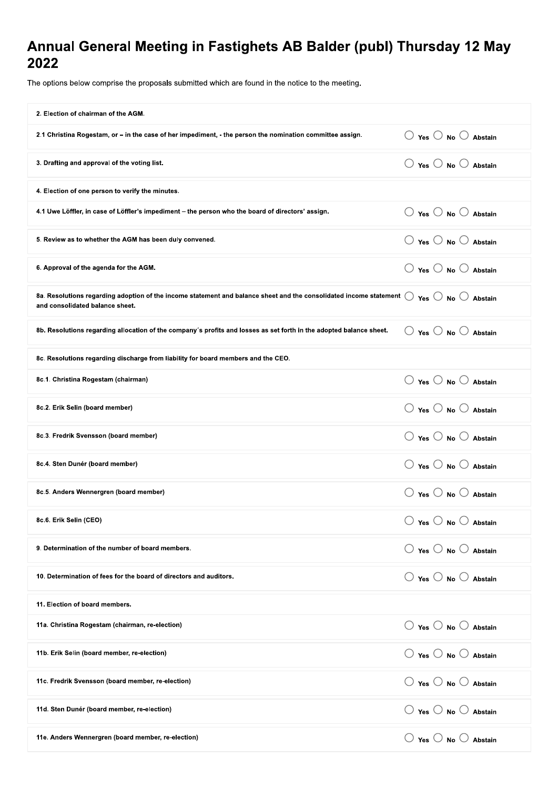# Annual General Meeting in Fastighets AB Balder (publ) Thursday 12 May

| The options below comprise the proposals submitted which are found in the notice to the meeting.                                                      |  |  |                                                 |
|-------------------------------------------------------------------------------------------------------------------------------------------------------|--|--|-------------------------------------------------|
|                                                                                                                                                       |  |  |                                                 |
| 2. Election of chairman of the AGM.                                                                                                                   |  |  |                                                 |
| 2.1 Christina Rogestam, or - in the case of her impediment, - the person the nomination committee assign.                                             |  |  | $\bigcirc$ Yes $\bigcirc$ No $\bigcirc$ Abstain |
| 3. Drafting and approval of the voting list.                                                                                                          |  |  | $\bigcirc$ Yes $\bigcirc$ No $\bigcirc$ Abstain |
| 4. Election of one person to verify the minutes.                                                                                                      |  |  |                                                 |
| 4.1 Uwe Löffler, in case of Löffler's impediment - the person who the board of directors' assign.                                                     |  |  | $\bigcirc$ Yes $\bigcirc$ No $\bigcirc$ Abstain |
| 5. Review as to whether the AGM has been duly convened.                                                                                               |  |  | $\bigcirc$ Yes $\bigcirc$ No $\bigcirc$ Abstain |
| 6. Approval of the agenda for the AGM.                                                                                                                |  |  | $\bigcirc$ Yes $\bigcirc$ No $\bigcirc$ Abstain |
| 8a. Resolutions regarding adoption of the income statement and balance sheet and the consolidated income statement<br>and consolidated balance sheet. |  |  | $\bigcirc$ Yes $\bigcirc$ No $\bigcirc$ Abstain |
| 8b. Resolutions regarding allocation of the company's profits and losses as set forth in the adopted balance sheet.                                   |  |  | ○ Yes ○ No ○ Abstain                            |
| 8c. Resolutions regarding discharge from liability for board members and the CEO.                                                                     |  |  |                                                 |
| 8c.1. Christina Rogestam (chairman)                                                                                                                   |  |  | $\bigcirc$ Yes $\bigcirc$ No $\bigcirc$ Abstain |
| 8c.2. Erik Selin (board member)                                                                                                                       |  |  | $\bigcirc$ Yes $\bigcirc$ No $\bigcirc$ Abstain |
| 8c.3. Fredrik Svensson (board member)                                                                                                                 |  |  | $\bigcirc$ Yes $\bigcirc$ No $\bigcirc$ Abstain |
| 8c.4. Sten Dunér (board member)                                                                                                                       |  |  | $\bigcirc$ Yes $\bigcirc$ No $\bigcirc$ Abstain |
| 8c.5. Anders Wennergren (board member)                                                                                                                |  |  | $\bigcirc$ Yes $\bigcirc$ No $\bigcirc$ Abstain |
| 8c.6. Erik Selin (CEO)                                                                                                                                |  |  | $\bigcirc$ Yes $\bigcirc$ No $\bigcirc$ Abstain |
| 9. Determination of the number of board members.                                                                                                      |  |  | $\bigcirc$ Yes $\bigcirc$ No $\bigcirc$ Abstain |
| 10. Determination of fees for the board of directors and auditors.                                                                                    |  |  | $\bigcirc$ Yes $\bigcirc$ No $\bigcirc$ Abstain |
| 11. Election of board members.                                                                                                                        |  |  |                                                 |
| 11a. Christina Rogestam (chairman, re-election)                                                                                                       |  |  | $\bigcirc$ Yes $\bigcirc$ No $\bigcirc$ Abstain |
| 11b. Erik Selin (board member, re-election)                                                                                                           |  |  | $\bigcirc$ Yes $\bigcirc$ No $\bigcirc$ Abstain |
| 11c. Fredrik Svensson (board member, re-election)                                                                                                     |  |  | $\bigcirc$ Yes $\bigcirc$ No $\bigcirc$ Abstain |
| 11d. Sten Dunér (board member, re-election)                                                                                                           |  |  | $\bigcirc$ Yes $\bigcirc$ No $\bigcirc$ Abstain |